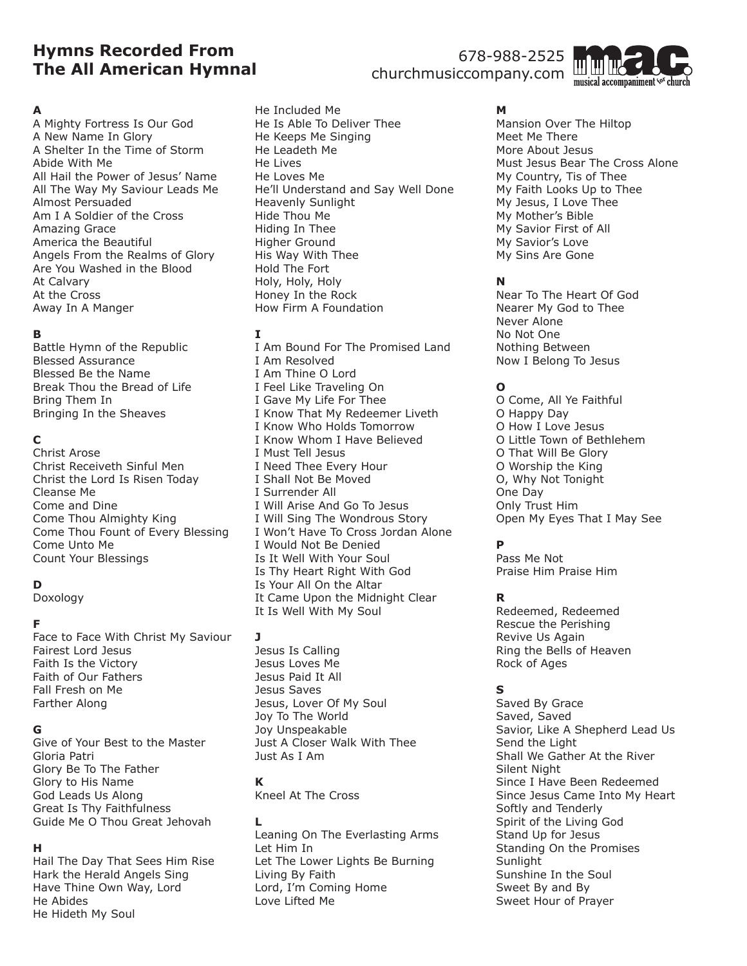# **Hymns Recorded From The All American Hymnal**

# 678-988-2525 churchmusiccompany.com



### **A**

A Mighty Fortress Is Our God A New Name In Glory A Shelter In the Time of Storm Abide With Me All Hail the Power of Jesus' Name All The Way My Saviour Leads Me Almost Persuaded Am I A Soldier of the Cross Amazing Grace America the Beautiful Angels From the Realms of Glory Are You Washed in the Blood At Calvary At the Cross Away In A Manger

### **B**

Battle Hymn of the Republic Blessed Assurance Blessed Be the Name Break Thou the Bread of Life Bring Them In Bringing In the Sheaves

## **C**

Christ Arose Christ Receiveth Sinful Men Christ the Lord Is Risen Today Cleanse Me Come and Dine Come Thou Almighty King Come Thou Fount of Every Blessing Come Unto Me Count Your Blessings

## **D**

Doxology

## **F**

Face to Face With Christ My Saviour Fairest Lord Jesus Faith Is the Victory Faith of Our Fathers Fall Fresh on Me Farther Along

### **G**

Give of Your Best to the Master Gloria Patri Glory Be To The Father Glory to His Name God Leads Us Along Great Is Thy Faithfulness Guide Me O Thou Great Jehovah

## **H**

Hail The Day That Sees Him Rise Hark the Herald Angels Sing Have Thine Own Way, Lord He Abides He Hideth My Soul

He Included Me He Is Able To Deliver Thee He Keeps Me Singing He Leadeth Me He Lives He Loves Me He'll Understand and Say Well Done Heavenly Sunlight Hide Thou Me Hiding In Thee Higher Ground His Way With Thee Hold The Fort Holy, Holy, Holy Honey In the Rock How Firm A Foundation

## **I**

I Am Bound For The Promised Land I Am Resolved I Am Thine O Lord I Feel Like Traveling On I Gave My Life For Thee I Know That My Redeemer Liveth I Know Who Holds Tomorrow I Know Whom I Have Believed I Must Tell Jesus I Need Thee Every Hour I Shall Not Be Moved I Surrender All I Will Arise And Go To Jesus I Will Sing The Wondrous Story I Won't Have To Cross Jordan Alone I Would Not Be Denied Is It Well With Your Soul Is Thy Heart Right With God Is Your All On the Altar It Came Upon the Midnight Clear It Is Well With My Soul

### **J**

Jesus Is Calling Jesus Loves Me Jesus Paid It All Jesus Saves Jesus, Lover Of My Soul Joy To The World Joy Unspeakable Just A Closer Walk With Thee Just As I Am

### **K**

Kneel At The Cross

**L** Leaning On The Everlasting Arms Let Him In Let The Lower Lights Be Burning Living By Faith Lord, I'm Coming Home Love Lifted Me

**M** Mansion Over The Hiltop Meet Me There More About Jesus Must Jesus Bear The Cross Alone My Country, Tis of Thee My Faith Looks Up to Thee My Jesus, I Love Thee My Mother's Bible My Savior First of All My Savior's Love My Sins Are Gone

## **N**

Near To The Heart Of God Nearer My God to Thee Never Alone No Not One Nothing Between Now I Belong To Jesus

## **O**

O Come, All Ye Faithful O Happy Day O How I Love Jesus O Little Town of Bethlehem O That Will Be Glory O Worship the King O, Why Not Tonight One Day Only Trust Him Open My Eyes That I May See

## **P**

Pass Me Not Praise Him Praise Him

## **R**

Redeemed, Redeemed Rescue the Perishing Revive Us Again Ring the Bells of Heaven Rock of Ages

## **S**

Saved By Grace Saved, Saved Savior, Like A Shepherd Lead Us Send the Light Shall We Gather At the River Silent Night Since I Have Been Redeemed Since Jesus Came Into My Heart Softly and Tenderly Spirit of the Living God Stand Up for Jesus Standing On the Promises **Sunlight** Sunshine In the Soul Sweet By and By Sweet Hour of Prayer